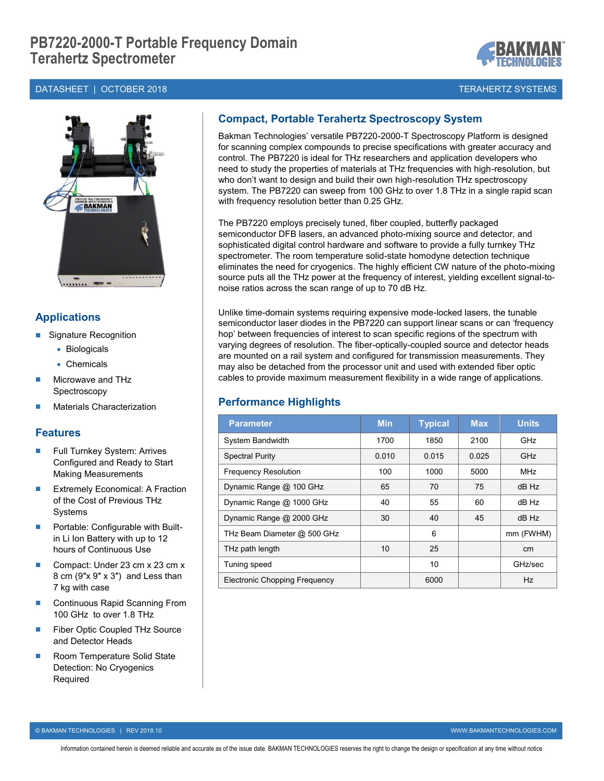## DATASHEET | OCTOBER 2018 TERAHERTZ SYSTEMS



# **Applications**

- Signature Recognition
	- Biologicals
	- Chemicals
- Microwave and THz Spectroscopy
- Materials Characterization

### **Features**

- Full Turnkey System: Arrives Configured and Ready to Start Making Measurements
- Extremely Economical: A Fraction of the Cost of Previous THz **Systems**
- **Portable: Configurable with Built**in Li Ion Battery with up to 12 hours of Continuous Use
- Compact: Under 23 cm x 23 cm x 8 cm (9″x 9″ x 3″) and Less than 7 kg with case
- Continuous Rapid Scanning From 100 GHz to over 1.8 THz
- Fiber Optic Coupled THz Source and Detector Heads
- Room Temperature Solid State Detection: No Cryogenics Required

# **Compact, Portable Terahertz Spectroscopy System**

Bakman Technologies' versatile PB7220-2000-T Spectroscopy Platform is designed for scanning complex compounds to precise specifications with greater accuracy and control. The PB7220 is ideal for THz researchers and application developers who need to study the properties of materials at THz frequencies with high-resolution, but who don't want to design and build their own high-resolution THz spectroscopy system. The PB7220 can sweep from 100 GHz to over 1.8 THz in a single rapid scan with frequency resolution better than 0.25 GHz.

The PB7220 employs precisely tuned, fiber coupled, butterfly packaged semiconductor DFB lasers, an advanced photo-mixing source and detector, and sophisticated digital control hardware and software to provide a fully turnkey THz spectrometer. The room temperature solid-state homodyne detection technique eliminates the need for cryogenics. The highly efficient CW nature of the photo-mixing source puts all the THz power at the frequency of interest, yielding excellent signal-tonoise ratios across the scan range of up to 70 dB Hz.

Unlike time-domain systems requiring expensive mode-locked lasers, the tunable semiconductor laser diodes in the PB7220 can support linear scans or can 'frequency hop' between frequencies of interest to scan specific regions of the spectrum with varying degrees of resolution. The fiber-optically-coupled source and detector heads are mounted on a rail system and configured for transmission measurements. They may also be detached from the processor unit and used with extended fiber optic cables to provide maximum measurement flexibility in a wide range of applications.

## **Performance Highlights**

| <b>Parameter</b>                     | <b>Min</b> | <b>Typical</b> | <b>Max</b> | <b>Units</b>    |
|--------------------------------------|------------|----------------|------------|-----------------|
| System Bandwidth                     | 1700       | 1850           | 2100       | GHz             |
| <b>Spectral Purity</b>               | 0.010      | 0.015          | 0.025      | GHz             |
| <b>Frequency Resolution</b>          | 100        | 1000           | 5000       | <b>MHz</b>      |
| Dynamic Range @ 100 GHz              | 65         | 70             | 75         | dB Hz           |
| Dynamic Range @ 1000 GHz             | 40         | 55             | 60         | dB Hz           |
| Dynamic Range @ 2000 GHz             | 30         | 40             | 45         | dB Hz           |
| THz Beam Diameter @ 500 GHz          |            | 6              |            | mm (FWHM)       |
| THz path length                      | 10         | 25             |            | cm <sub>2</sub> |
| Tuning speed                         |            | 10             |            | GHz/sec         |
| <b>Electronic Chopping Frequency</b> |            | 6000           |            | Hz              |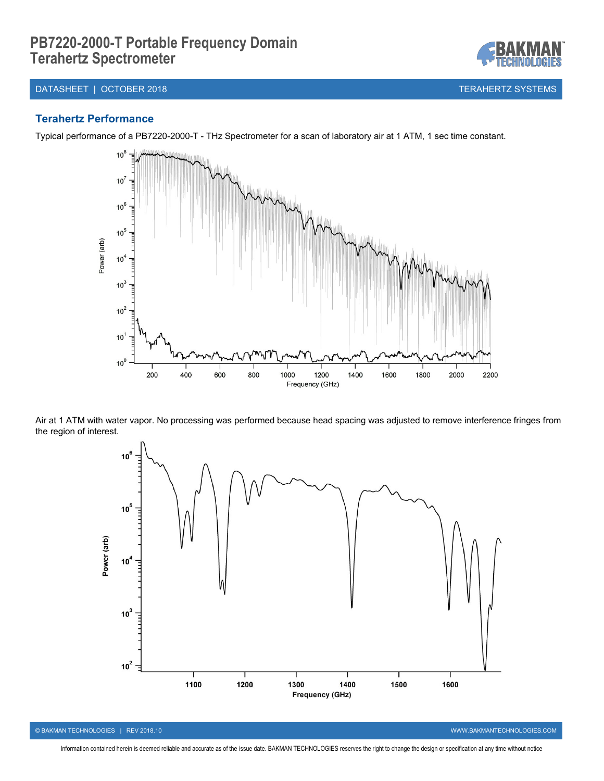#### DATASHEET | OCTOBER 2018 TERAHERTZ SYSTEMS

#### **Terahertz Performance**

Typical performance of a PB7220-2000-T - THz Spectrometer for a scan of laboratory air at 1 ATM, 1 sec time constant.



Air at 1 ATM with water vapor. No processing was performed because head spacing was adjusted to remove interference fringes from the region of interest.



© BAKMAN TECHNOLOGIES | REV 2018.10 WWW.BAKMANTECHNOLOGIES.COM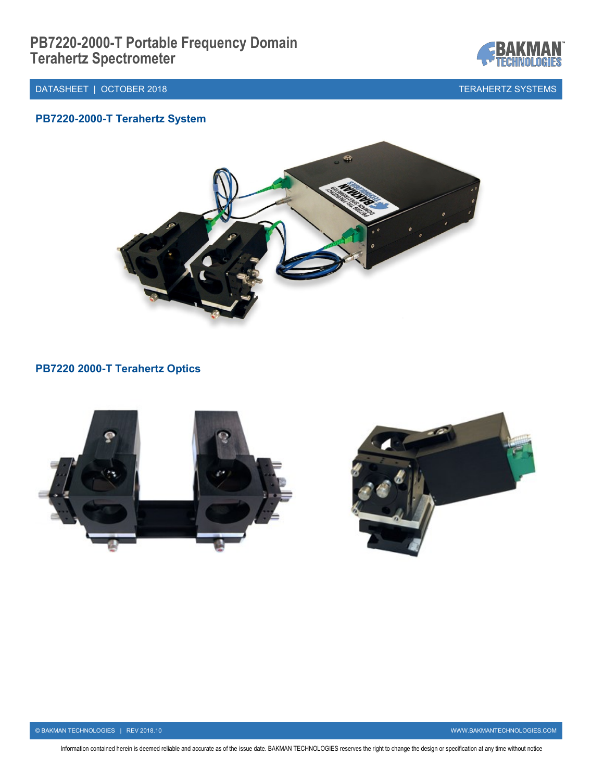



# **PB7220-2000-T Terahertz System**



# **PB7220 2000-T Terahertz Optics**

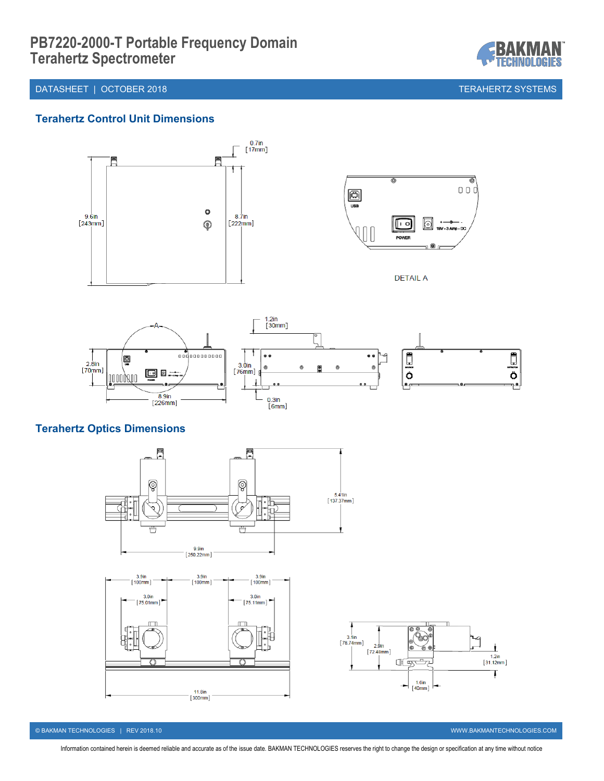DATASHEET | OCTOBER 2018 TERAHERTZ SYSTEMS

IOLOGIES

## **Terahertz Control Unit Dimensions**



# **Terahertz Optics Dimensions**



© BAKMAN TECHNOLOGIES | REV 2018.10 WWW.BAKMANTECHNOLOGIES.COM

Ł  $\begin{bmatrix} 1.2\text{in} \\ 31.12\text{min} \end{bmatrix}$ 

Ţ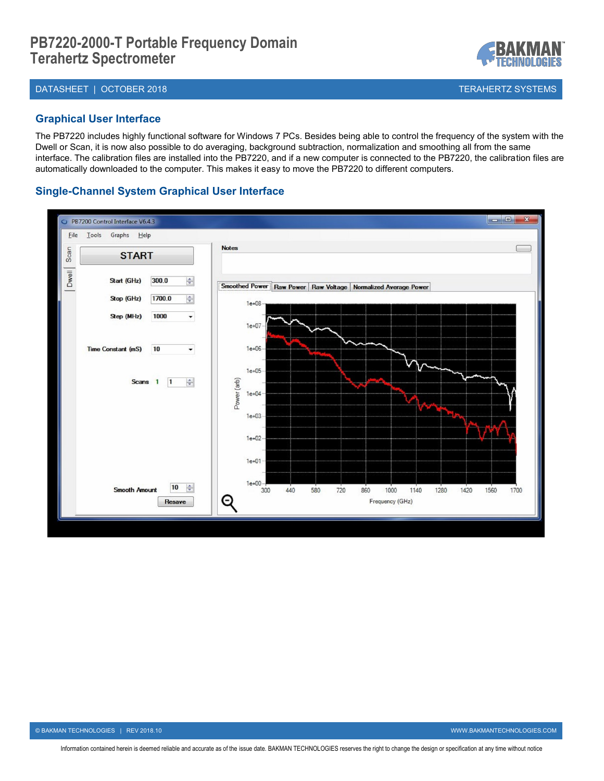#### DATASHEET | OCTOBER 2018 TERAHERTZ SYSTEMS

#### **Graphical User Interface**

The PB7220 includes highly functional software for Windows 7 PCs. Besides being able to control the frequency of the system with the Dwell or Scan, it is now also possible to do averaging, background subtraction, normalization and smoothing all from the same interface. The calibration files are installed into the PB7220, and if a new computer is connected to the PB7220, the calibration files are automatically downloaded to the computer. This makes it easy to move the PB7220 to different computers.

### **Single-Channel System Graphical User Interface**